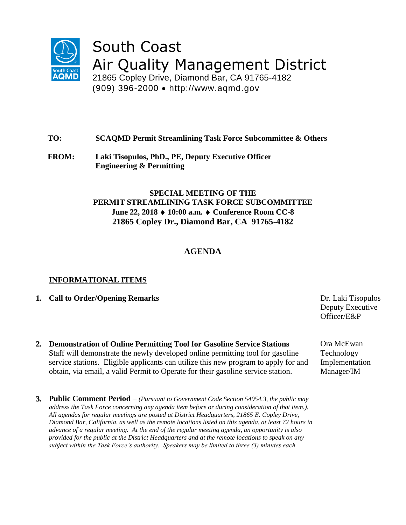

# South Coast Air Quality Management District

21865 Copley Drive, Diamond Bar, CA 91765-4182 (909) 396-2000 http://www.aqmd.gov

## **TO: SCAQMD Permit Streamlining Task Force Subcommittee & Others**

**FROM: Laki Tisopulos, PhD., PE, Deputy Executive Officer Engineering & Permitting**

## **SPECIAL MEETING OF THE PERMIT STREAMLINING TASK FORCE SUBCOMMITTEE June 22, 2018 10:00 a.m. Conference Room CC-8 21865 Copley Dr., Diamond Bar, CA 91765-4182**

# **AGENDA**

#### **INFORMATIONAL ITEMS**

- **1. Call to Order/Opening Remarks** Dr. Laki Tisopulos
- **2. Demonstration of Online Permitting Tool for Gasoline Service Stations** Staff will demonstrate the newly developed online permitting tool for gasoline service stations. Eligible applicants can utilize this new program to apply for and obtain, via email, a valid Permit to Operate for their gasoline service station.
- **3. Public Comment Period**  *(Pursuant to Government Code Section 54954.3, the public may address the Task Force concerning any agenda item before or during consideration of that item.). All agendas for regular meetings are posted at District Headquarters, 21865 E. Copley Drive, Diamond Bar, California, as well as the remote locations listed on this agenda, at least 72 hours in advance of a regular meeting. At the end of the regular meeting agenda, an opportunity is also provided for the public at the District Headquarters and at the remote locations to speak on any subject within the Task Force's authority. Speakers may be limited to three (3) minutes each.*

Deputy Executive Officer/E&P

Ora McEwan Technology Implementation Manager/IM